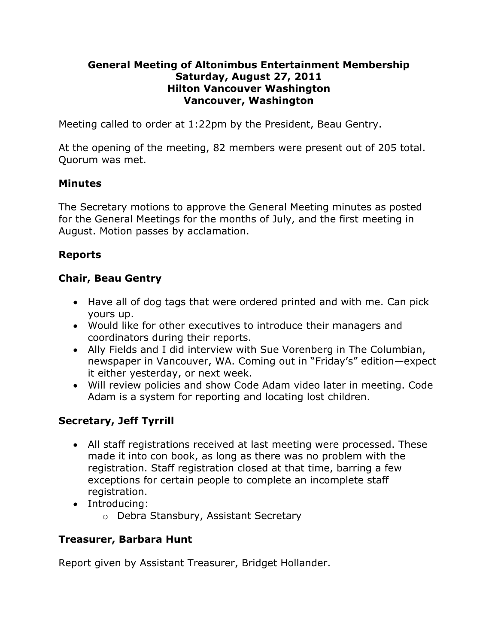#### **General Meeting of Altonimbus Entertainment Membership Saturday, August 27, 2011 Hilton Vancouver Washington Vancouver, Washington**

Meeting called to order at 1:22pm by the President, Beau Gentry.

At the opening of the meeting, 82 members were present out of 205 total. Quorum was met.

### **Minutes**

The Secretary motions to approve the General Meeting minutes as posted for the General Meetings for the months of July, and the first meeting in August. Motion passes by acclamation.

# **Reports**

### **Chair, Beau Gentry**

- Have all of dog tags that were ordered printed and with me. Can pick yours up.
- Would like for other executives to introduce their managers and coordinators during their reports.
- Ally Fields and I did interview with Sue Vorenberg in The Columbian, newspaper in Vancouver, WA. Coming out in "Friday"s" edition—expect it either yesterday, or next week.
- Will review policies and show Code Adam video later in meeting. Code Adam is a system for reporting and locating lost children.

# **Secretary, Jeff Tyrrill**

- All staff registrations received at last meeting were processed. These made it into con book, as long as there was no problem with the registration. Staff registration closed at that time, barring a few exceptions for certain people to complete an incomplete staff registration.
- Introducing:
	- o Debra Stansbury, Assistant Secretary

### **Treasurer, Barbara Hunt**

Report given by Assistant Treasurer, Bridget Hollander.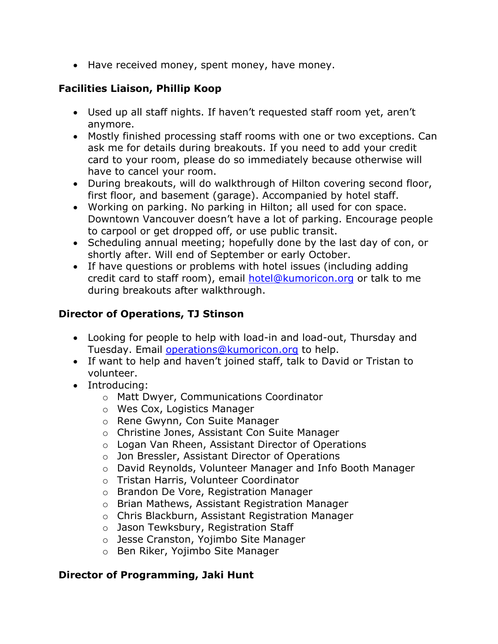• Have received money, spent money, have money.

### **Facilities Liaison, Phillip Koop**

- Used up all staff nights. If haven't requested staff room yet, aren't anymore.
- Mostly finished processing staff rooms with one or two exceptions. Can ask me for details during breakouts. If you need to add your credit card to your room, please do so immediately because otherwise will have to cancel your room.
- During breakouts, will do walkthrough of Hilton covering second floor, first floor, and basement (garage). Accompanied by hotel staff.
- Working on parking. No parking in Hilton; all used for con space. Downtown Vancouver doesn"t have a lot of parking. Encourage people to carpool or get dropped off, or use public transit.
- Scheduling annual meeting; hopefully done by the last day of con, or shortly after. Will end of September or early October.
- If have questions or problems with hotel issues (including adding credit card to staff room), email [hotel@kumoricon.org](mailto:hotel@kumoricon.org) or talk to me during breakouts after walkthrough.

### **Director of Operations, TJ Stinson**

- Looking for people to help with load-in and load-out, Thursday and Tuesday. Email [operations@kumoricon.org](mailto:operations@kumoricon.org) to help.
- If want to help and haven"t joined staff, talk to David or Tristan to volunteer.
- Introducing:
	- o Matt Dwyer, Communications Coordinator
	- o Wes Cox, Logistics Manager
	- o Rene Gwynn, Con Suite Manager
	- o Christine Jones, Assistant Con Suite Manager
	- o Logan Van Rheen, Assistant Director of Operations
	- o Jon Bressler, Assistant Director of Operations
	- o David Reynolds, Volunteer Manager and Info Booth Manager
	- o Tristan Harris, Volunteer Coordinator
	- o Brandon De Vore, Registration Manager
	- o Brian Mathews, Assistant Registration Manager
	- o Chris Blackburn, Assistant Registration Manager
	- o Jason Tewksbury, Registration Staff
	- o Jesse Cranston, Yojimbo Site Manager
	- o Ben Riker, Yojimbo Site Manager

### **Director of Programming, Jaki Hunt**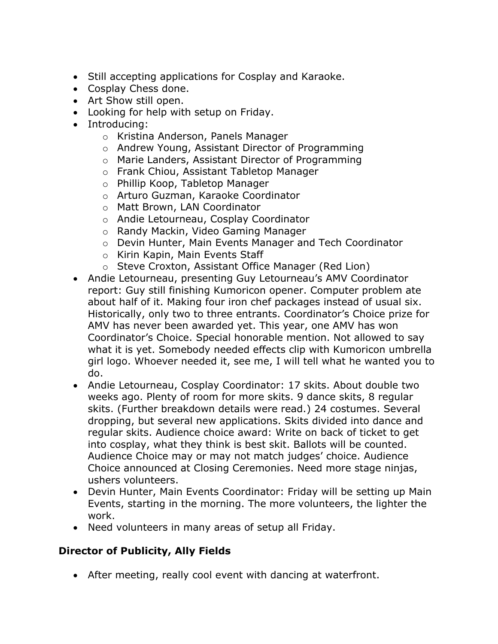- Still accepting applications for Cosplay and Karaoke.
- Cosplay Chess done.
- Art Show still open.
- Looking for help with setup on Friday.
- Introducing:
	- o Kristina Anderson, Panels Manager
	- o Andrew Young, Assistant Director of Programming
	- o Marie Landers, Assistant Director of Programming
	- o Frank Chiou, Assistant Tabletop Manager
	- o Phillip Koop, Tabletop Manager
	- o Arturo Guzman, Karaoke Coordinator
	- o Matt Brown, LAN Coordinator
	- o Andie Letourneau, Cosplay Coordinator
	- o Randy Mackin, Video Gaming Manager
	- o Devin Hunter, Main Events Manager and Tech Coordinator
	- o Kirin Kapin, Main Events Staff
	- o Steve Croxton, Assistant Office Manager (Red Lion)
- Andie Letourneau, presenting Guy Letourneau's AMV Coordinator report: Guy still finishing Kumoricon opener. Computer problem ate about half of it. Making four iron chef packages instead of usual six. Historically, only two to three entrants. Coordinator"s Choice prize for AMV has never been awarded yet. This year, one AMV has won Coordinator"s Choice. Special honorable mention. Not allowed to say what it is yet. Somebody needed effects clip with Kumoricon umbrella girl logo. Whoever needed it, see me, I will tell what he wanted you to do.
- Andie Letourneau, Cosplay Coordinator: 17 skits. About double two weeks ago. Plenty of room for more skits. 9 dance skits, 8 regular skits. (Further breakdown details were read.) 24 costumes. Several dropping, but several new applications. Skits divided into dance and regular skits. Audience choice award: Write on back of ticket to get into cosplay, what they think is best skit. Ballots will be counted. Audience Choice may or may not match judges' choice. Audience Choice announced at Closing Ceremonies. Need more stage ninjas, ushers volunteers.
- Devin Hunter, Main Events Coordinator: Friday will be setting up Main Events, starting in the morning. The more volunteers, the lighter the work.
- Need volunteers in many areas of setup all Friday.

# **Director of Publicity, Ally Fields**

After meeting, really cool event with dancing at waterfront.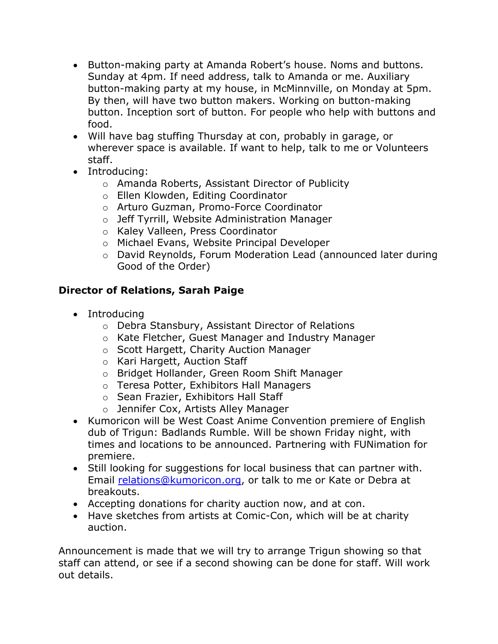- Button-making party at Amanda Robert's house. Noms and buttons. Sunday at 4pm. If need address, talk to Amanda or me. Auxiliary button-making party at my house, in McMinnville, on Monday at 5pm. By then, will have two button makers. Working on button-making button. Inception sort of button. For people who help with buttons and food.
- Will have bag stuffing Thursday at con, probably in garage, or wherever space is available. If want to help, talk to me or Volunteers staff.
- Introducing:
	- o Amanda Roberts, Assistant Director of Publicity
	- o Ellen Klowden, Editing Coordinator
	- o Arturo Guzman, Promo-Force Coordinator
	- o Jeff Tyrrill, Website Administration Manager
	- o Kaley Valleen, Press Coordinator
	- o Michael Evans, Website Principal Developer
	- o David Reynolds, Forum Moderation Lead (announced later during Good of the Order)

### **Director of Relations, Sarah Paige**

- Introducing
	- o Debra Stansbury, Assistant Director of Relations
	- o Kate Fletcher, Guest Manager and Industry Manager
	- o Scott Hargett, Charity Auction Manager
	- o Kari Hargett, Auction Staff
	- o Bridget Hollander, Green Room Shift Manager
	- o Teresa Potter, Exhibitors Hall Managers
	- o Sean Frazier, Exhibitors Hall Staff
	- o Jennifer Cox, Artists Alley Manager
- Kumoricon will be West Coast Anime Convention premiere of English dub of Trigun: Badlands Rumble. Will be shown Friday night, with times and locations to be announced. Partnering with FUNimation for premiere.
- Still looking for suggestions for local business that can partner with. Email [relations@kumoricon.org,](mailto:relations@kumoricon.org) or talk to me or Kate or Debra at breakouts.
- Accepting donations for charity auction now, and at con.
- Have sketches from artists at Comic-Con, which will be at charity auction.

Announcement is made that we will try to arrange Trigun showing so that staff can attend, or see if a second showing can be done for staff. Will work out details.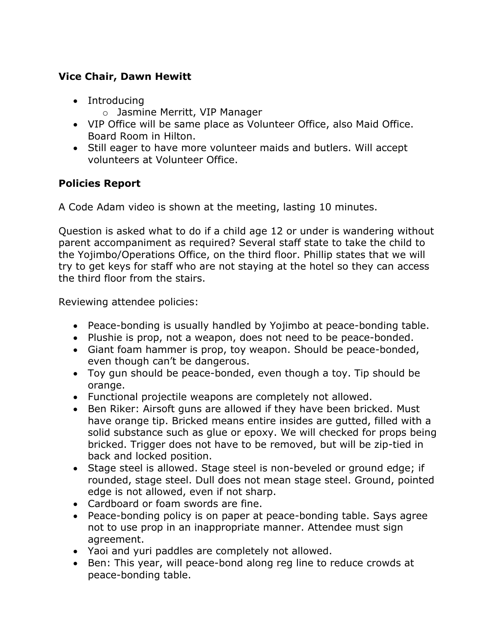# **Vice Chair, Dawn Hewitt**

- Introducing
	- o Jasmine Merritt, VIP Manager
- VIP Office will be same place as Volunteer Office, also Maid Office. Board Room in Hilton.
- Still eager to have more volunteer maids and butlers. Will accept volunteers at Volunteer Office.

# **Policies Report**

A Code Adam video is shown at the meeting, lasting 10 minutes.

Question is asked what to do if a child age 12 or under is wandering without parent accompaniment as required? Several staff state to take the child to the Yojimbo/Operations Office, on the third floor. Phillip states that we will try to get keys for staff who are not staying at the hotel so they can access the third floor from the stairs.

Reviewing attendee policies:

- Peace-bonding is usually handled by Yojimbo at peace-bonding table.
- Plushie is prop, not a weapon, does not need to be peace-bonded.
- Giant foam hammer is prop, toy weapon. Should be peace-bonded, even though can"t be dangerous.
- Toy gun should be peace-bonded, even though a toy. Tip should be orange.
- Functional projectile weapons are completely not allowed.
- Ben Riker: Airsoft guns are allowed if they have been bricked. Must have orange tip. Bricked means entire insides are gutted, filled with a solid substance such as glue or epoxy. We will checked for props being bricked. Trigger does not have to be removed, but will be zip-tied in back and locked position.
- Stage steel is allowed. Stage steel is non-beveled or ground edge; if rounded, stage steel. Dull does not mean stage steel. Ground, pointed edge is not allowed, even if not sharp.
- Cardboard or foam swords are fine.
- Peace-bonding policy is on paper at peace-bonding table. Says agree not to use prop in an inappropriate manner. Attendee must sign agreement.
- Yaoi and yuri paddles are completely not allowed.
- Ben: This year, will peace-bond along reg line to reduce crowds at peace-bonding table.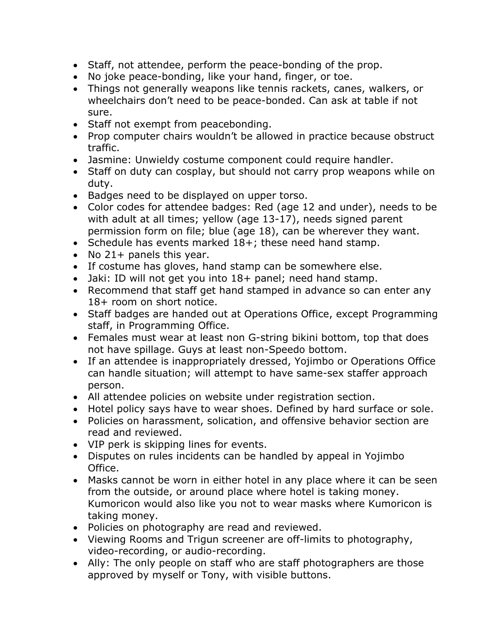- Staff, not attendee, perform the peace-bonding of the prop.
- No joke peace-bonding, like your hand, finger, or toe.
- Things not generally weapons like tennis rackets, canes, walkers, or wheelchairs don"t need to be peace-bonded. Can ask at table if not sure.
- Staff not exempt from peacebonding.
- Prop computer chairs wouldn't be allowed in practice because obstruct traffic.
- Jasmine: Unwieldy costume component could require handler.
- Staff on duty can cosplay, but should not carry prop weapons while on duty.
- Badges need to be displayed on upper torso.
- Color codes for attendee badges: Red (age 12 and under), needs to be with adult at all times; yellow (age 13-17), needs signed parent permission form on file; blue (age 18), can be wherever they want.
- Schedule has events marked 18+; these need hand stamp.
- No 21+ panels this year.
- If costume has gloves, hand stamp can be somewhere else.
- Jaki: ID will not get you into 18+ panel; need hand stamp.
- Recommend that staff get hand stamped in advance so can enter any 18+ room on short notice.
- Staff badges are handed out at Operations Office, except Programming staff, in Programming Office.
- Females must wear at least non G-string bikini bottom, top that does not have spillage. Guys at least non-Speedo bottom.
- If an attendee is inappropriately dressed, Yojimbo or Operations Office can handle situation; will attempt to have same-sex staffer approach person.
- All attendee policies on website under registration section.
- Hotel policy says have to wear shoes. Defined by hard surface or sole.
- Policies on harassment, solication, and offensive behavior section are read and reviewed.
- VIP perk is skipping lines for events.
- Disputes on rules incidents can be handled by appeal in Yojimbo Office.
- Masks cannot be worn in either hotel in any place where it can be seen from the outside, or around place where hotel is taking money. Kumoricon would also like you not to wear masks where Kumoricon is taking money.
- Policies on photography are read and reviewed.
- Viewing Rooms and Trigun screener are off-limits to photography, video-recording, or audio-recording.
- Ally: The only people on staff who are staff photographers are those approved by myself or Tony, with visible buttons.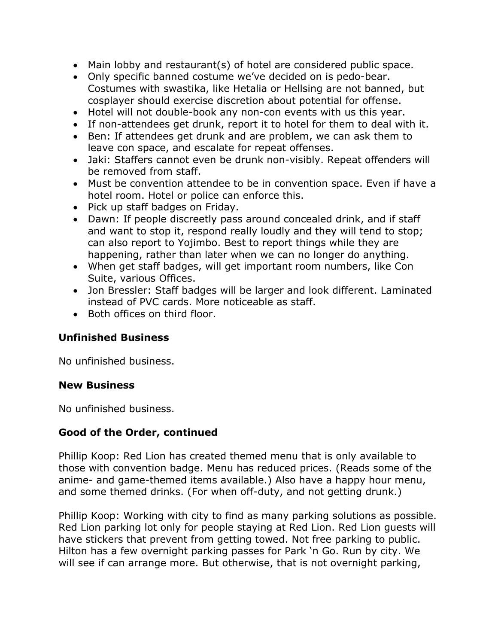- Main lobby and restaurant(s) of hotel are considered public space.
- Only specific banned costume we"ve decided on is pedo-bear. Costumes with swastika, like Hetalia or Hellsing are not banned, but cosplayer should exercise discretion about potential for offense.
- Hotel will not double-book any non-con events with us this year.
- If non-attendees get drunk, report it to hotel for them to deal with it.
- Ben: If attendees get drunk and are problem, we can ask them to leave con space, and escalate for repeat offenses.
- Jaki: Staffers cannot even be drunk non-visibly. Repeat offenders will be removed from staff.
- Must be convention attendee to be in convention space. Even if have a hotel room. Hotel or police can enforce this.
- Pick up staff badges on Friday.
- Dawn: If people discreetly pass around concealed drink, and if staff and want to stop it, respond really loudly and they will tend to stop; can also report to Yojimbo. Best to report things while they are happening, rather than later when we can no longer do anything.
- When get staff badges, will get important room numbers, like Con Suite, various Offices.
- Jon Bressler: Staff badges will be larger and look different. Laminated instead of PVC cards. More noticeable as staff.
- Both offices on third floor.

### **Unfinished Business**

No unfinished business.

#### **New Business**

No unfinished business.

### **Good of the Order, continued**

Phillip Koop: Red Lion has created themed menu that is only available to those with convention badge. Menu has reduced prices. (Reads some of the anime- and game-themed items available.) Also have a happy hour menu, and some themed drinks. (For when off-duty, and not getting drunk.)

Phillip Koop: Working with city to find as many parking solutions as possible. Red Lion parking lot only for people staying at Red Lion. Red Lion guests will have stickers that prevent from getting towed. Not free parking to public. Hilton has a few overnight parking passes for Park "n Go. Run by city. We will see if can arrange more. But otherwise, that is not overnight parking,